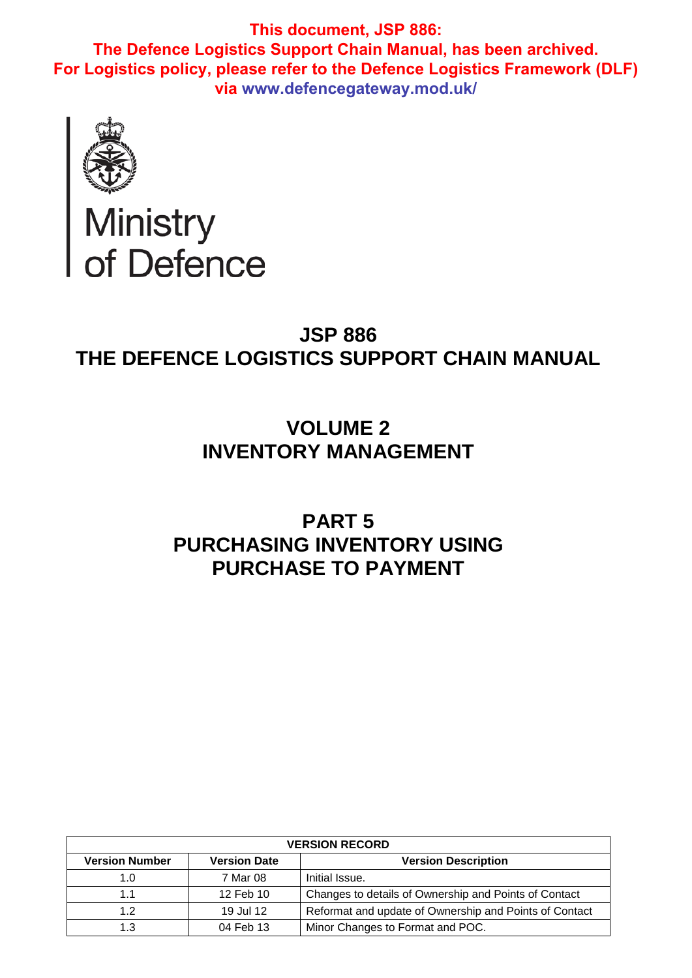

# Ministry<br>of Defence

## **JSP 886 THE DEFENCE LOGISTICS SUPPORT CHAIN MANUAL**

# **VOLUME 2 INVENTORY MANAGEMENT**

# **PART 5 PURCHASING INVENTORY USING PURCHASE TO PAYMENT**

| <b>VERSION RECORD</b> |                     |                                                        |  |  |  |  |  |  |
|-----------------------|---------------------|--------------------------------------------------------|--|--|--|--|--|--|
| <b>Version Number</b> | <b>Version Date</b> | <b>Version Description</b>                             |  |  |  |  |  |  |
| 1.0                   | 7 Mar 08            | Initial Issue.                                         |  |  |  |  |  |  |
| 1.1                   | 12 Feb 10           | Changes to details of Ownership and Points of Contact  |  |  |  |  |  |  |
| 1.2                   | 19 Jul 12           | Reformat and update of Ownership and Points of Contact |  |  |  |  |  |  |
| 1.3                   | 04 Feb 13           | Minor Changes to Format and POC.                       |  |  |  |  |  |  |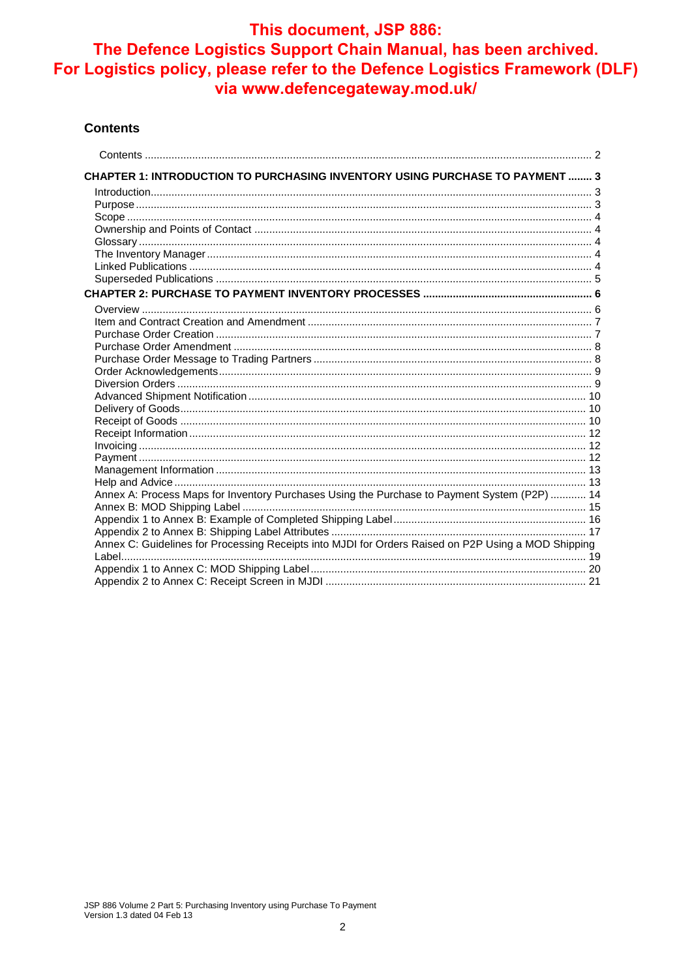#### **Contents**

| CHAPTER 1: INTRODUCTION TO PURCHASING INVENTORY USING PURCHASE TO PAYMENT  3                        |  |
|-----------------------------------------------------------------------------------------------------|--|
|                                                                                                     |  |
|                                                                                                     |  |
|                                                                                                     |  |
|                                                                                                     |  |
|                                                                                                     |  |
|                                                                                                     |  |
|                                                                                                     |  |
|                                                                                                     |  |
|                                                                                                     |  |
|                                                                                                     |  |
|                                                                                                     |  |
|                                                                                                     |  |
|                                                                                                     |  |
|                                                                                                     |  |
|                                                                                                     |  |
|                                                                                                     |  |
|                                                                                                     |  |
|                                                                                                     |  |
|                                                                                                     |  |
|                                                                                                     |  |
|                                                                                                     |  |
|                                                                                                     |  |
|                                                                                                     |  |
|                                                                                                     |  |
| Annex A: Process Maps for Inventory Purchases Using the Purchase to Payment System (P2P)  14        |  |
|                                                                                                     |  |
|                                                                                                     |  |
| Annex C: Guidelines for Processing Receipts into MJDI for Orders Raised on P2P Using a MOD Shipping |  |
|                                                                                                     |  |
|                                                                                                     |  |
|                                                                                                     |  |
|                                                                                                     |  |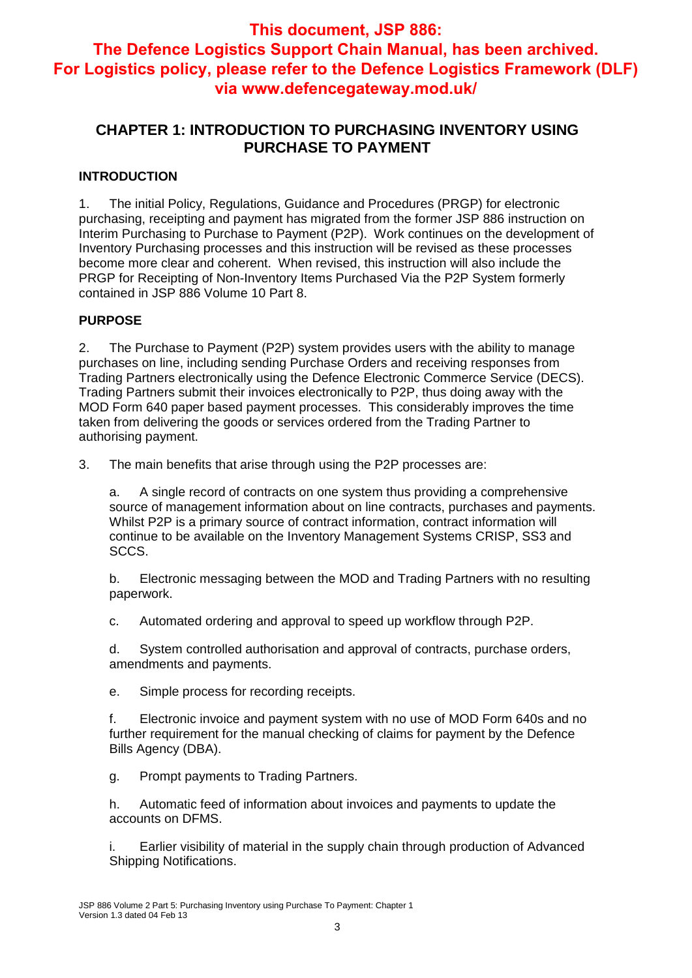## **CHAPTER 1: INTRODUCTION TO PURCHASING INVENTORY USING PURCHASE TO PAYMENT**

#### **INTRODUCTION**

1. The initial Policy, Regulations, Guidance and Procedures (PRGP) for electronic purchasing, receipting and payment has migrated from the former JSP 886 instruction on Interim Purchasing to Purchase to Payment (P2P). Work continues on the development of Inventory Purchasing processes and this instruction will be revised as these processes become more clear and coherent. When revised, this instruction will also include the PRGP for Receipting of Non-Inventory Items Purchased Via the P2P System formerly contained in JSP 886 Volume 10 Part 8.

#### **PURPOSE**

2. The Purchase to Payment (P2P) system provides users with the ability to manage purchases on line, including sending Purchase Orders and receiving responses from Trading Partners electronically using the Defence Electronic Commerce Service (DECS). Trading Partners submit their invoices electronically to P2P, thus doing away with the MOD Form 640 paper based payment processes. This considerably improves the time taken from delivering the goods or services ordered from the Trading Partner to authorising payment.

3. The main benefits that arise through using the P2P processes are:

a. A single record of contracts on one system thus providing a comprehensive source of management information about on line contracts, purchases and payments. Whilst P2P is a primary source of contract information, contract information will continue to be available on the Inventory Management Systems CRISP, SS3 and SCCS.

b. Electronic messaging between the MOD and Trading Partners with no resulting paperwork.

c. Automated ordering and approval to speed up workflow through P2P.

d. System controlled authorisation and approval of contracts, purchase orders, amendments and payments.

e. Simple process for recording receipts.

f. Electronic invoice and payment system with no use of MOD Form 640s and no further requirement for the manual checking of claims for payment by the Defence Bills Agency (DBA).

g. Prompt payments to Trading Partners.

h. Automatic feed of information about invoices and payments to update the accounts on DFMS.

i. Earlier visibility of material in the supply chain through production of Advanced Shipping Notifications.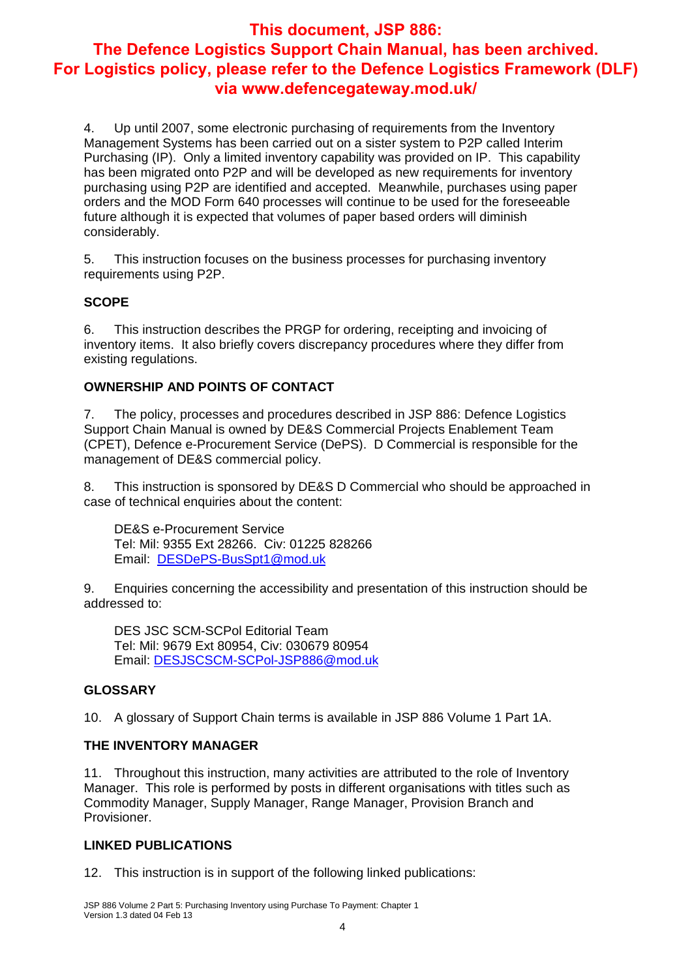4. Up until 2007, some electronic purchasing of requirements from the Inventory Management Systems has been carried out on a sister system to P2P called Interim Purchasing (IP). Only a limited inventory capability was provided on IP. This capability has been migrated onto P2P and will be developed as new requirements for inventory purchasing using P2P are identified and accepted. Meanwhile, purchases using paper orders and the MOD Form 640 processes will continue to be used for the foreseeable future although it is expected that volumes of paper based orders will diminish considerably.

5. This instruction focuses on the business processes for purchasing inventory requirements using P2P.

#### **SCOPE**

6. This instruction describes the PRGP for ordering, receipting and invoicing of inventory items. It also briefly covers discrepancy procedures where they differ from existing regulations.

#### **OWNERSHIP AND POINTS OF CONTACT**

7. The policy, processes and procedures described in JSP 886: Defence Logistics Support Chain Manual is owned by DE&S Commercial Projects Enablement Team (CPET), Defence e-Procurement Service (DePS). D Commercial is responsible for the management of DE&S commercial policy.

8. This instruction is sponsored by DE&S D Commercial who should be approached in case of technical enquiries about the content:

DE&S e-Procurement Service Tel: Mil: 9355 Ext 28266. Civ: 01225 828266 Email: DESDePS-BusSpt1@mod.uk

9. Enquiries concerning the accessibility and presentation of this instruction should be addressed to:

DES JSC SCM-SCPol Editorial Team Tel: Mil: 9679 Ext 80954, Civ: 030679 80954 Email: DESJSCSCM-SCPol-JSP886@mod.uk

#### **GLOSSARY**

10. A glossary of Support Chain terms is available in JSP 886 Volume 1 Part 1A.

#### **THE INVENTORY MANAGER**

11. Throughout this instruction, many activities are attributed to the role of Inventory Manager. This role is performed by posts in different organisations with titles such as Commodity Manager, Supply Manager, Range Manager, Provision Branch and Provisioner.

#### **LINKED PUBLICATIONS**

12. This instruction is in support of the following linked publications: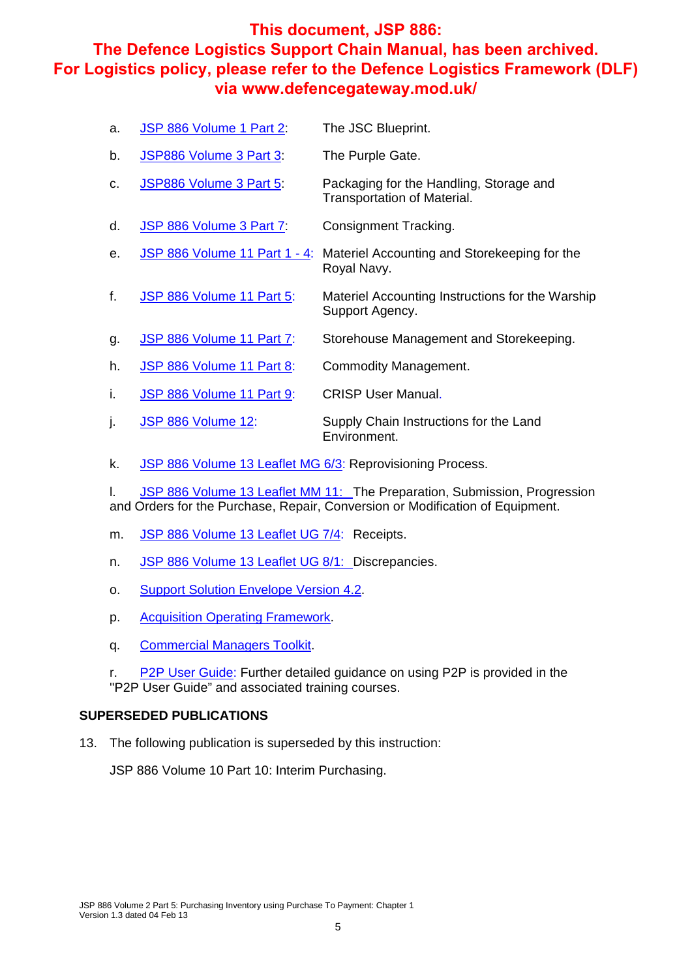| a. | JSP 886 Volume 1 Part 2:      | The JSC Blueprint.                                                     |
|----|-------------------------------|------------------------------------------------------------------------|
| b. | JSP886 Volume 3 Part 3:       | The Purple Gate.                                                       |
| C. | JSP886 Volume 3 Part 5:       | Packaging for the Handling, Storage and<br>Transportation of Material. |
| d. | JSP 886 Volume 3 Part 7:      | Consignment Tracking.                                                  |
| е. | JSP 886 Volume 11 Part 1 - 4: | Materiel Accounting and Storekeeping for the<br>Royal Navy.            |
| f. | JSP 886 Volume 11 Part 5:     | Materiel Accounting Instructions for the Warship<br>Support Agency.    |
| g. | JSP 886 Volume 11 Part 7:     | Storehouse Management and Storekeeping.                                |
| h. | JSP 886 Volume 11 Part 8:     | Commodity Management.                                                  |
| Ι. | JSP 886 Volume 11 Part 9:     | <b>CRISP User Manual.</b>                                              |
|    |                               |                                                                        |

k. JSP 886 Volume 13 Leaflet MG 6/3: Reprovisioning Process.

j. JSP 886 Volume 12: Supply Chain Instructions for the Land

l. JSP 886 Volume 13 Leaflet MM 11: The Preparation, Submission, Progression and Orders for the Purchase, Repair, Conversion or Modification of Equipment.

Environment.

- m. JSP 886 Volume 13 Leaflet UG 7/4: Receipts.
- n. JSP 886 Volume 13 Leaflet UG 8/1: Discrepancies.
- o. Support Solution Envelope Version 4.2.
- p. Acquisition Operating Framework.
- q. Commercial Managers Toolkit.
- r. P2P User Guide: Further detailed guidance on using P2P is provided in the ''P2P User Guide" and associated training courses.

#### **SUPERSEDED PUBLICATIONS**

13. The following publication is superseded by this instruction:

JSP 886 Volume 10 Part 10: Interim Purchasing.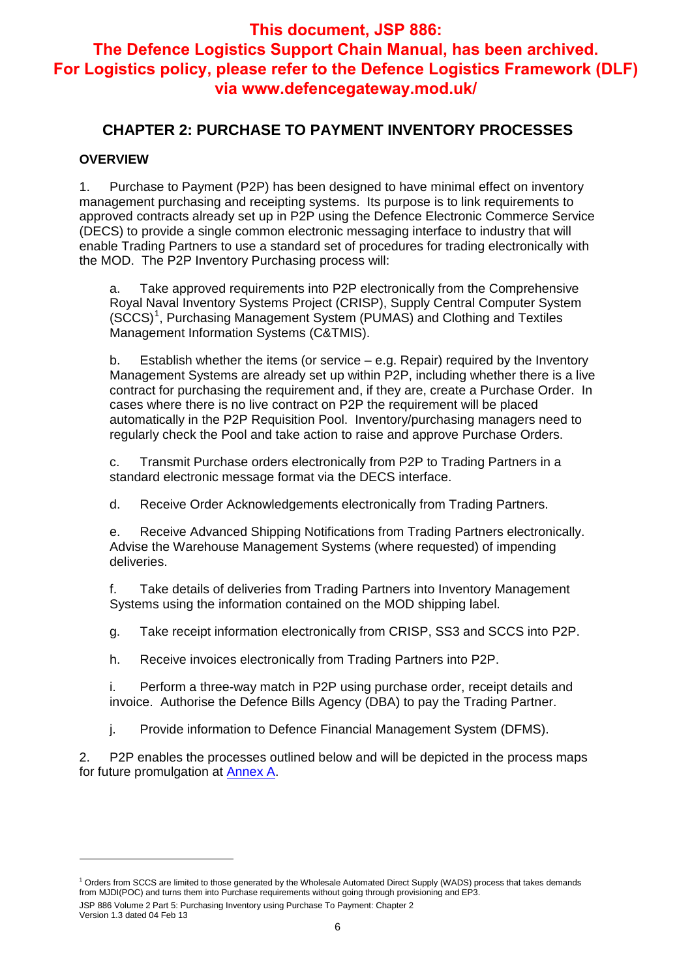## **CHAPTER 2: PURCHASE TO PAYMENT INVENTORY PROCESSES**

#### **OVERVIEW**

1. Purchase to Payment (P2P) has been designed to have minimal effect on inventory management purchasing and receipting systems. Its purpose is to link requirements to approved contracts already set up in P2P using the Defence Electronic Commerce Service (DECS) to provide a single common electronic messaging interface to industry that will enable Trading Partners to use a standard set of procedures for trading electronically with the MOD. The P2P Inventory Purchasing process will:

a. Take approved requirements into P2P electronically from the Comprehensive Royal Naval Inventory Systems Project (CRISP), Supply Central Computer System (SCCS)<sup>1</sup>, Purchasing Management System (PUMAS) and Clothing and Textiles Management Information Systems (C&TMIS).

b. Establish whether the items (or service – e.g. Repair) required by the Inventory Management Systems are already set up within P2P, including whether there is a live contract for purchasing the requirement and, if they are, create a Purchase Order. In cases where there is no live contract on P2P the requirement will be placed automatically in the P2P Requisition Pool. Inventory/purchasing managers need to regularly check the Pool and take action to raise and approve Purchase Orders.

c. Transmit Purchase orders electronically from P2P to Trading Partners in a standard electronic message format via the DECS interface.

d. Receive Order Acknowledgements electronically from Trading Partners.

e. Receive Advanced Shipping Notifications from Trading Partners electronically. Advise the Warehouse Management Systems (where requested) of impending deliveries.

f. Take details of deliveries from Trading Partners into Inventory Management Systems using the information contained on the MOD shipping label.

g. Take receipt information electronically from CRISP, SS3 and SCCS into P2P.

h. Receive invoices electronically from Trading Partners into P2P.

i. Perform a three-way match in P2P using purchase order, receipt details and invoice. Authorise the Defence Bills Agency (DBA) to pay the Trading Partner.

j. Provide information to Defence Financial Management System (DFMS).

2. P2P enables the processes outlined below and will be depicted in the process maps for future promulgation at Annex A.

-

JSP 886 Volume 2 Part 5: Purchasing Inventory using Purchase To Payment: Chapter 2 <sup>1</sup> Orders from SCCS are limited to those generated by the Wholesale Automated Direct Supply (WADS) process that takes demands from MJDI(POC) and turns them into Purchase requirements without going through provisioning and EP3.

Version 1.3 dated 04 Feb 13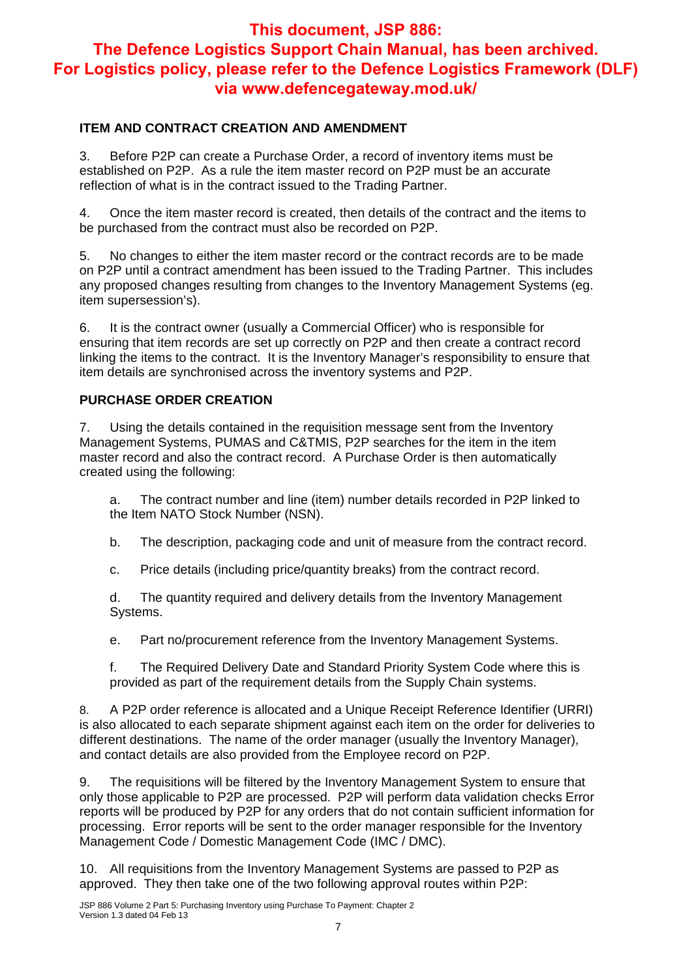#### **ITEM AND CONTRACT CREATION AND AMENDMENT**

3. Before P2P can create a Purchase Order, a record of inventory items must be established on P2P. As a rule the item master record on P2P must be an accurate reflection of what is in the contract issued to the Trading Partner.

4. Once the item master record is created, then details of the contract and the items to be purchased from the contract must also be recorded on P2P.

5. No changes to either the item master record or the contract records are to be made on P2P until a contract amendment has been issued to the Trading Partner. This includes any proposed changes resulting from changes to the Inventory Management Systems (eg. item supersession's).

6. It is the contract owner (usually a Commercial Officer) who is responsible for ensuring that item records are set up correctly on P2P and then create a contract record linking the items to the contract. It is the Inventory Manager's responsibility to ensure that item details are synchronised across the inventory systems and P2P.

#### **PURCHASE ORDER CREATION**

7. Using the details contained in the requisition message sent from the Inventory Management Systems, PUMAS and C&TMIS, P2P searches for the item in the item master record and also the contract record. A Purchase Order is then automatically created using the following:

a. The contract number and line (item) number details recorded in P2P linked to the Item NATO Stock Number (NSN).

b. The description, packaging code and unit of measure from the contract record.

c. Price details (including price/quantity breaks) from the contract record.

d. The quantity required and delivery details from the Inventory Management Systems.

e. Part no/procurement reference from the Inventory Management Systems.

f. The Required Delivery Date and Standard Priority System Code where this is provided as part of the requirement details from the Supply Chain systems.

8. A P2P order reference is allocated and a Unique Receipt Reference Identifier (URRI) is also allocated to each separate shipment against each item on the order for deliveries to different destinations. The name of the order manager (usually the Inventory Manager), and contact details are also provided from the Employee record on P2P.

9. The requisitions will be filtered by the Inventory Management System to ensure that only those applicable to P2P are processed. P2P will perform data validation checks Error reports will be produced by P2P for any orders that do not contain sufficient information for processing. Error reports will be sent to the order manager responsible for the Inventory Management Code / Domestic Management Code (IMC / DMC).

10. All requisitions from the Inventory Management Systems are passed to P2P as approved. They then take one of the two following approval routes within P2P: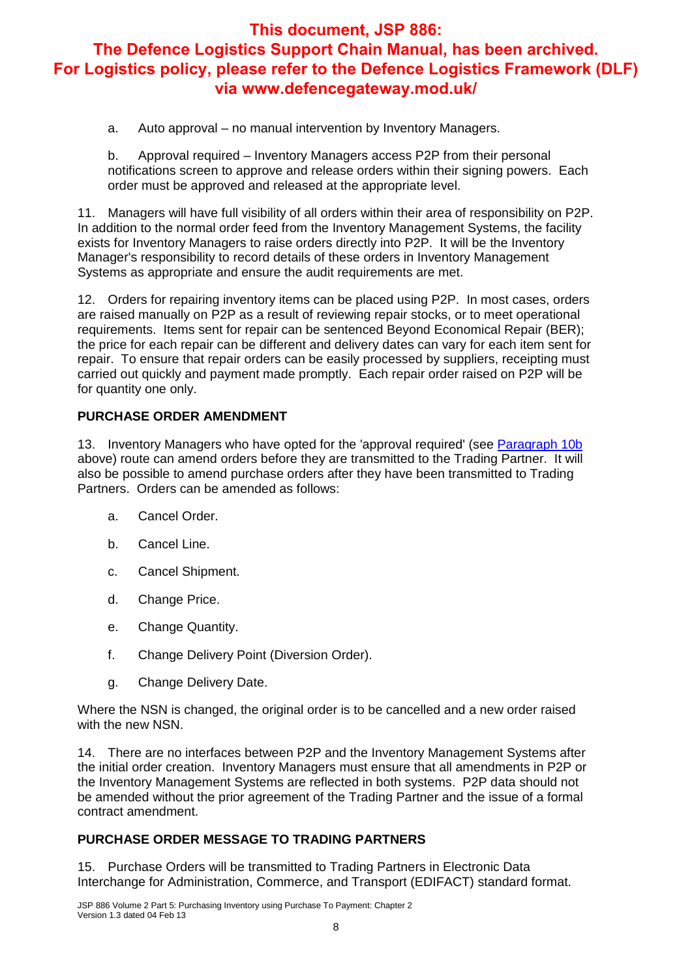a. Auto approval – no manual intervention by Inventory Managers.

b. Approval required – Inventory Managers access P2P from their personal notifications screen to approve and release orders within their signing powers. Each order must be approved and released at the appropriate level.

11. Managers will have full visibility of all orders within their area of responsibility on P2P. In addition to the normal order feed from the Inventory Management Systems, the facility exists for Inventory Managers to raise orders directly into P2P. It will be the Inventory Manager's responsibility to record details of these orders in Inventory Management Systems as appropriate and ensure the audit requirements are met.

12. Orders for repairing inventory items can be placed using P2P. In most cases, orders are raised manually on P2P as a result of reviewing repair stocks, or to meet operational requirements. Items sent for repair can be sentenced Beyond Economical Repair (BER); the price for each repair can be different and delivery dates can vary for each item sent for repair. To ensure that repair orders can be easily processed by suppliers, receipting must carried out quickly and payment made promptly. Each repair order raised on P2P will be for quantity one only.

#### **PURCHASE ORDER AMENDMENT**

13. Inventory Managers who have opted for the 'approval required' (see Paragraph 10b above) route can amend orders before they are transmitted to the Trading Partner. It will also be possible to amend purchase orders after they have been transmitted to Trading Partners. Orders can be amended as follows:

- a. Cancel Order.
- b. Cancel Line.
- c. Cancel Shipment.
- d. Change Price.
- e. Change Quantity.
- f. Change Delivery Point (Diversion Order).
- g. Change Delivery Date.

Where the NSN is changed, the original order is to be cancelled and a new order raised with the new NSN.

14. There are no interfaces between P2P and the Inventory Management Systems after the initial order creation. Inventory Managers must ensure that all amendments in P2P or the Inventory Management Systems are reflected in both systems. P2P data should not be amended without the prior agreement of the Trading Partner and the issue of a formal contract amendment.

#### **PURCHASE ORDER MESSAGE TO TRADING PARTNERS**

15. Purchase Orders will be transmitted to Trading Partners in Electronic Data Interchange for Administration, Commerce, and Transport (EDIFACT) standard format.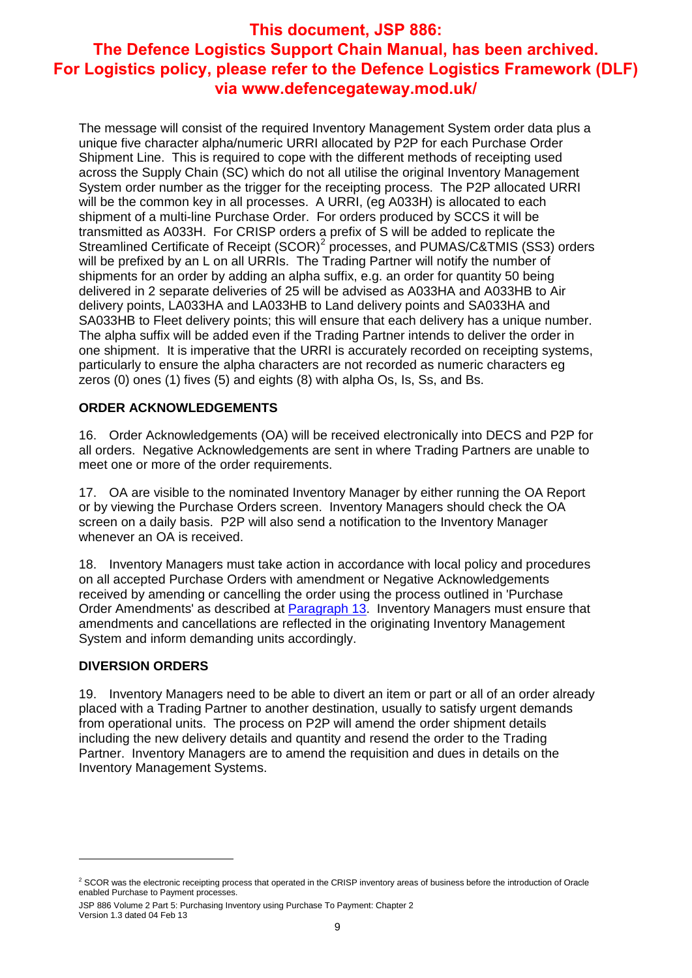The message will consist of the required Inventory Management System order data plus a unique five character alpha/numeric URRI allocated by P2P for each Purchase Order Shipment Line. This is required to cope with the different methods of receipting used across the Supply Chain (SC) which do not all utilise the original Inventory Management System order number as the trigger for the receipting process. The P2P allocated URRI will be the common key in all processes. A URRI, (eg A033H) is allocated to each shipment of a multi-line Purchase Order. For orders produced by SCCS it will be transmitted as A033H. For CRISP orders a prefix of S will be added to replicate the Streamlined Certificate of Receipt (SCOR)<sup>2</sup> processes, and PUMAS/C&TMIS (SS3) orders will be prefixed by an L on all URRIs. The Trading Partner will notify the number of shipments for an order by adding an alpha suffix, e.g. an order for quantity 50 being delivered in 2 separate deliveries of 25 will be advised as A033HA and A033HB to Air delivery points, LA033HA and LA033HB to Land delivery points and SA033HA and SA033HB to Fleet delivery points; this will ensure that each delivery has a unique number. The alpha suffix will be added even if the Trading Partner intends to deliver the order in one shipment. It is imperative that the URRI is accurately recorded on receipting systems, particularly to ensure the alpha characters are not recorded as numeric characters eg zeros (0) ones (1) fives (5) and eights (8) with alpha Os, Is, Ss, and Bs.

#### **ORDER ACKNOWLEDGEMENTS**

16. Order Acknowledgements (OA) will be received electronically into DECS and P2P for all orders. Negative Acknowledgements are sent in where Trading Partners are unable to meet one or more of the order requirements.

17. OA are visible to the nominated Inventory Manager by either running the OA Report or by viewing the Purchase Orders screen. Inventory Managers should check the OA screen on a daily basis. P2P will also send a notification to the Inventory Manager whenever an OA is received.

18. Inventory Managers must take action in accordance with local policy and procedures on all accepted Purchase Orders with amendment or Negative Acknowledgements received by amending or cancelling the order using the process outlined in 'Purchase Order Amendments' as described at Paragraph 13. Inventory Managers must ensure that amendments and cancellations are reflected in the originating Inventory Management System and inform demanding units accordingly.

#### **DIVERSION ORDERS**

-

19. Inventory Managers need to be able to divert an item or part or all of an order already placed with a Trading Partner to another destination, usually to satisfy urgent demands from operational units. The process on P2P will amend the order shipment details including the new delivery details and quantity and resend the order to the Trading Partner. Inventory Managers are to amend the requisition and dues in details on the Inventory Management Systems.

 $2$  SCOR was the electronic receipting process that operated in the CRISP inventory areas of business before the introduction of Oracle enabled Purchase to Payment processes.

JSP 886 Volume 2 Part 5: Purchasing Inventory using Purchase To Payment: Chapter 2 Version 1.3 dated 04 Feb 13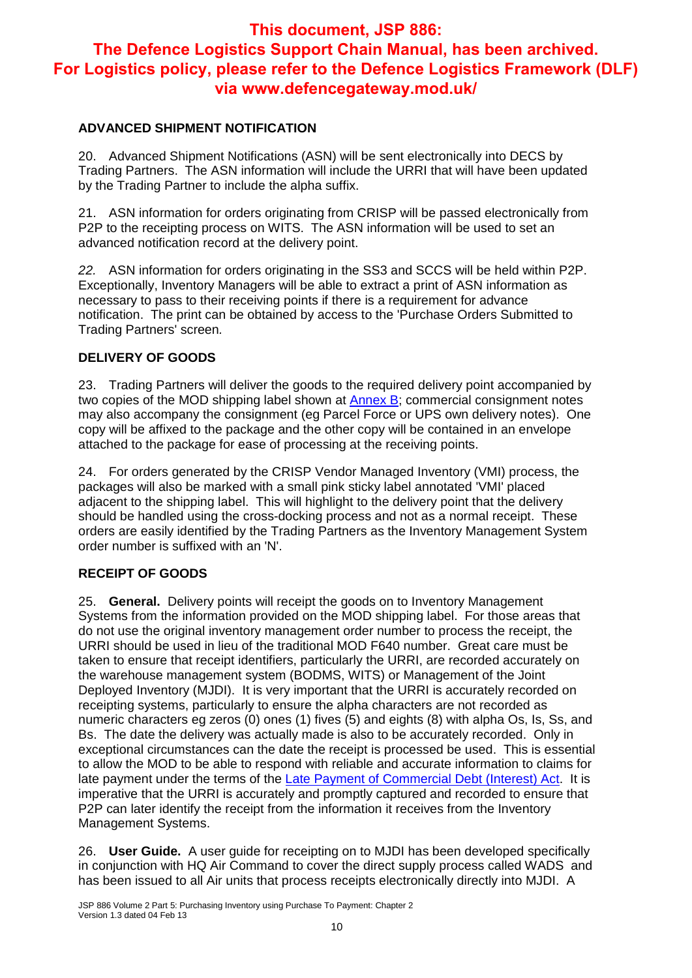#### **ADVANCED SHIPMENT NOTIFICATION**

20. Advanced Shipment Notifications (ASN) will be sent electronically into DECS by Trading Partners. The ASN information will include the URRI that will have been updated by the Trading Partner to include the alpha suffix.

21. ASN information for orders originating from CRISP will be passed electronically from P2P to the receipting process on WITS. The ASN information will be used to set an advanced notification record at the delivery point.

*22.* ASN information for orders originating in the SS3 and SCCS will be held within P2P. Exceptionally, Inventory Managers will be able to extract a print of ASN information as necessary to pass to their receiving points if there is a requirement for advance notification. The print can be obtained by access to the 'Purchase Orders Submitted to Trading Partners' screen*.* 

#### **DELIVERY OF GOODS**

23. Trading Partners will deliver the goods to the required delivery point accompanied by two copies of the MOD shipping label shown at  $\frac{\text{Annex}}{\text{B}}$ ; commercial consignment notes may also accompany the consignment (eg Parcel Force or UPS own delivery notes). One copy will be affixed to the package and the other copy will be contained in an envelope attached to the package for ease of processing at the receiving points.

24. For orders generated by the CRISP Vendor Managed Inventory (VMI) process, the packages will also be marked with a small pink sticky label annotated 'VMI' placed adjacent to the shipping label. This will highlight to the delivery point that the delivery should be handled using the cross-docking process and not as a normal receipt. These orders are easily identified by the Trading Partners as the Inventory Management System order number is suffixed with an 'N'.

#### **RECEIPT OF GOODS**

25. **General.** Delivery points will receipt the goods on to Inventory Management Systems from the information provided on the MOD shipping label. For those areas that do not use the original inventory management order number to process the receipt, the URRI should be used in lieu of the traditional MOD F640 number. Great care must be taken to ensure that receipt identifiers, particularly the URRI, are recorded accurately on the warehouse management system (BODMS, WITS) or Management of the Joint Deployed Inventory (MJDI). It is very important that the URRI is accurately recorded on receipting systems, particularly to ensure the alpha characters are not recorded as numeric characters eg zeros (0) ones (1) fives (5) and eights (8) with alpha Os, Is, Ss, and Bs. The date the delivery was actually made is also to be accurately recorded. Only in exceptional circumstances can the date the receipt is processed be used. This is essential to allow the MOD to be able to respond with reliable and accurate information to claims for late payment under the terms of the Late Payment of Commercial Debt (Interest) Act. It is imperative that the URRI is accurately and promptly captured and recorded to ensure that P2P can later identify the receipt from the information it receives from the Inventory Management Systems.

26. **User Guide.** A user guide for receipting on to MJDI has been developed specifically in conjunction with HQ Air Command to cover the direct supply process called WADS and has been issued to all Air units that process receipts electronically directly into MJDI. A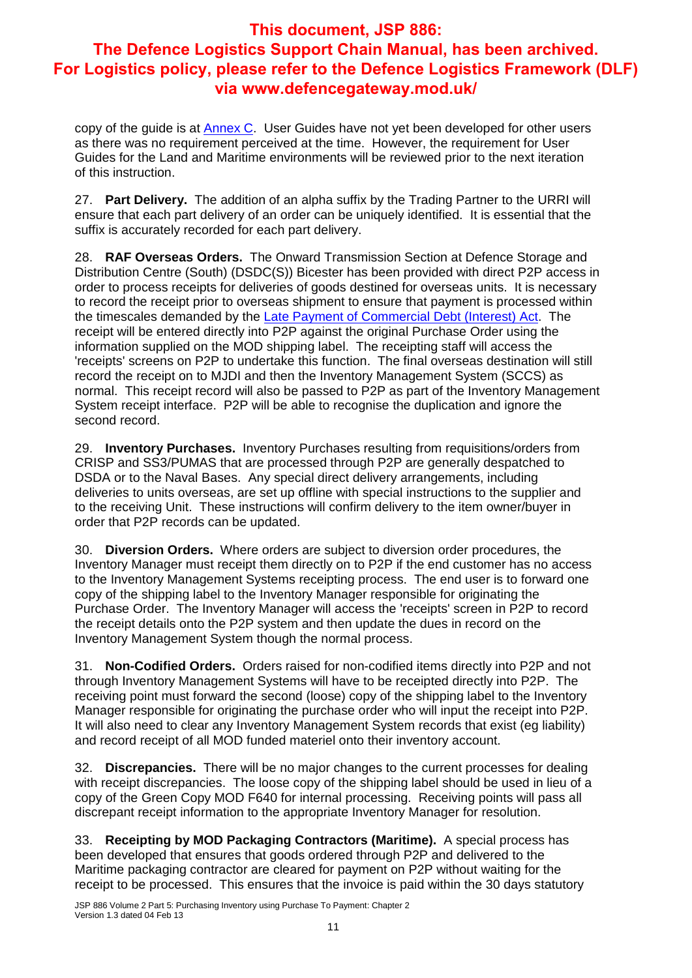copy of the guide is at **Annex C**. User Guides have not yet been developed for other users as there was no requirement perceived at the time. However, the requirement for User Guides for the Land and Maritime environments will be reviewed prior to the next iteration of this instruction.

27. **Part Delivery.** The addition of an alpha suffix by the Trading Partner to the URRI will ensure that each part delivery of an order can be uniquely identified. It is essential that the suffix is accurately recorded for each part delivery.

28. **RAF Overseas Orders.** The Onward Transmission Section at Defence Storage and Distribution Centre (South) (DSDC(S)) Bicester has been provided with direct P2P access in order to process receipts for deliveries of goods destined for overseas units. It is necessary to record the receipt prior to overseas shipment to ensure that payment is processed within the timescales demanded by the Late Payment of Commercial Debt (Interest) Act. The receipt will be entered directly into P2P against the original Purchase Order using the information supplied on the MOD shipping label. The receipting staff will access the 'receipts' screens on P2P to undertake this function. The final overseas destination will still record the receipt on to MJDI and then the Inventory Management System (SCCS) as normal. This receipt record will also be passed to P2P as part of the Inventory Management System receipt interface. P2P will be able to recognise the duplication and ignore the second record.

29. **Inventory Purchases.** Inventory Purchases resulting from requisitions/orders from CRISP and SS3/PUMAS that are processed through P2P are generally despatched to DSDA or to the Naval Bases. Any special direct delivery arrangements, including deliveries to units overseas, are set up offline with special instructions to the supplier and to the receiving Unit. These instructions will confirm delivery to the item owner/buyer in order that P2P records can be updated.

30. **Diversion Orders.** Where orders are subject to diversion order procedures, the Inventory Manager must receipt them directly on to P2P if the end customer has no access to the Inventory Management Systems receipting process. The end user is to forward one copy of the shipping label to the Inventory Manager responsible for originating the Purchase Order. The Inventory Manager will access the 'receipts' screen in P2P to record the receipt details onto the P2P system and then update the dues in record on the Inventory Management System though the normal process.

31. **Non-Codified Orders.** Orders raised for non-codified items directly into P2P and not through Inventory Management Systems will have to be receipted directly into P2P. The receiving point must forward the second (loose) copy of the shipping label to the Inventory Manager responsible for originating the purchase order who will input the receipt into P2P. It will also need to clear any Inventory Management System records that exist (eg liability) and record receipt of all MOD funded materiel onto their inventory account.

32. **Discrepancies.** There will be no major changes to the current processes for dealing with receipt discrepancies. The loose copy of the shipping label should be used in lieu of a copy of the Green Copy MOD F640 for internal processing. Receiving points will pass all discrepant receipt information to the appropriate Inventory Manager for resolution.

33. **Receipting by MOD Packaging Contractors (Maritime).** A special process has been developed that ensures that goods ordered through P2P and delivered to the Maritime packaging contractor are cleared for payment on P2P without waiting for the receipt to be processed. This ensures that the invoice is paid within the 30 days statutory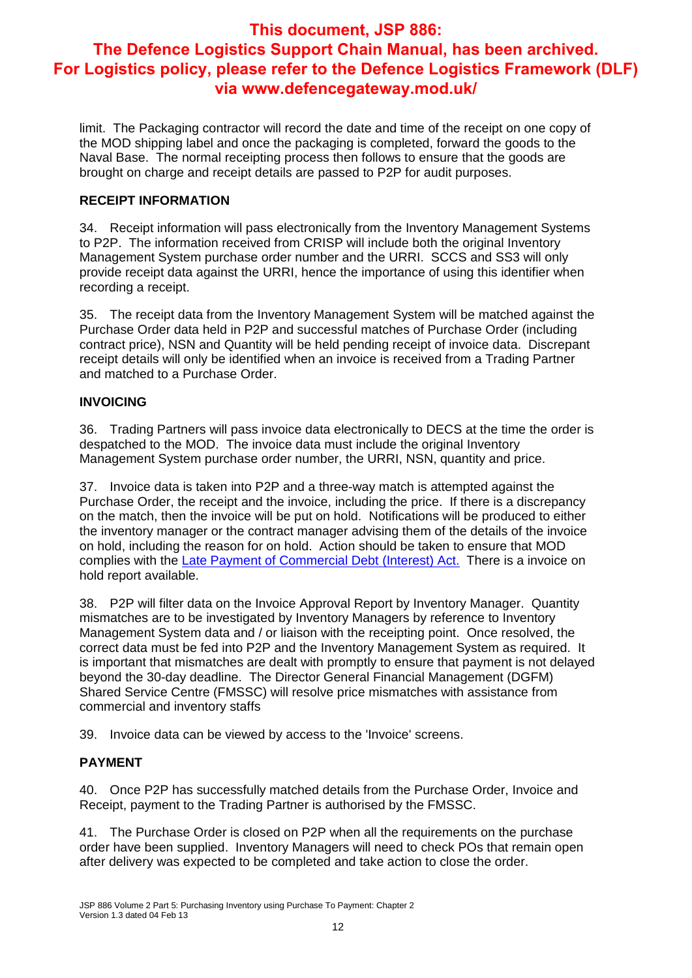limit. The Packaging contractor will record the date and time of the receipt on one copy of the MOD shipping label and once the packaging is completed, forward the goods to the Naval Base. The normal receipting process then follows to ensure that the goods are brought on charge and receipt details are passed to P2P for audit purposes.

#### **RECEIPT INFORMATION**

34. Receipt information will pass electronically from the Inventory Management Systems to P2P. The information received from CRISP will include both the original Inventory Management System purchase order number and the URRI. SCCS and SS3 will only provide receipt data against the URRI, hence the importance of using this identifier when recording a receipt.

35. The receipt data from the Inventory Management System will be matched against the Purchase Order data held in P2P and successful matches of Purchase Order (including contract price), NSN and Quantity will be held pending receipt of invoice data. Discrepant receipt details will only be identified when an invoice is received from a Trading Partner and matched to a Purchase Order.

#### **INVOICING**

36. Trading Partners will pass invoice data electronically to DECS at the time the order is despatched to the MOD. The invoice data must include the original Inventory Management System purchase order number, the URRI, NSN, quantity and price.

37. Invoice data is taken into P2P and a three-way match is attempted against the Purchase Order, the receipt and the invoice, including the price. If there is a discrepancy on the match, then the invoice will be put on hold. Notifications will be produced to either the inventory manager or the contract manager advising them of the details of the invoice on hold, including the reason for on hold. Action should be taken to ensure that MOD complies with the Late Payment of Commercial Debt (Interest) Act. There is a invoice on hold report available.

38. P2P will filter data on the Invoice Approval Report by Inventory Manager. Quantity mismatches are to be investigated by Inventory Managers by reference to Inventory Management System data and / or liaison with the receipting point. Once resolved, the correct data must be fed into P2P and the Inventory Management System as required. It is important that mismatches are dealt with promptly to ensure that payment is not delayed beyond the 30-day deadline. The Director General Financial Management (DGFM) Shared Service Centre (FMSSC) will resolve price mismatches with assistance from commercial and inventory staffs

39. Invoice data can be viewed by access to the 'Invoice' screens.

#### **PAYMENT**

40. Once P2P has successfully matched details from the Purchase Order, Invoice and Receipt, payment to the Trading Partner is authorised by the FMSSC.

41. The Purchase Order is closed on P2P when all the requirements on the purchase order have been supplied. Inventory Managers will need to check POs that remain open after delivery was expected to be completed and take action to close the order.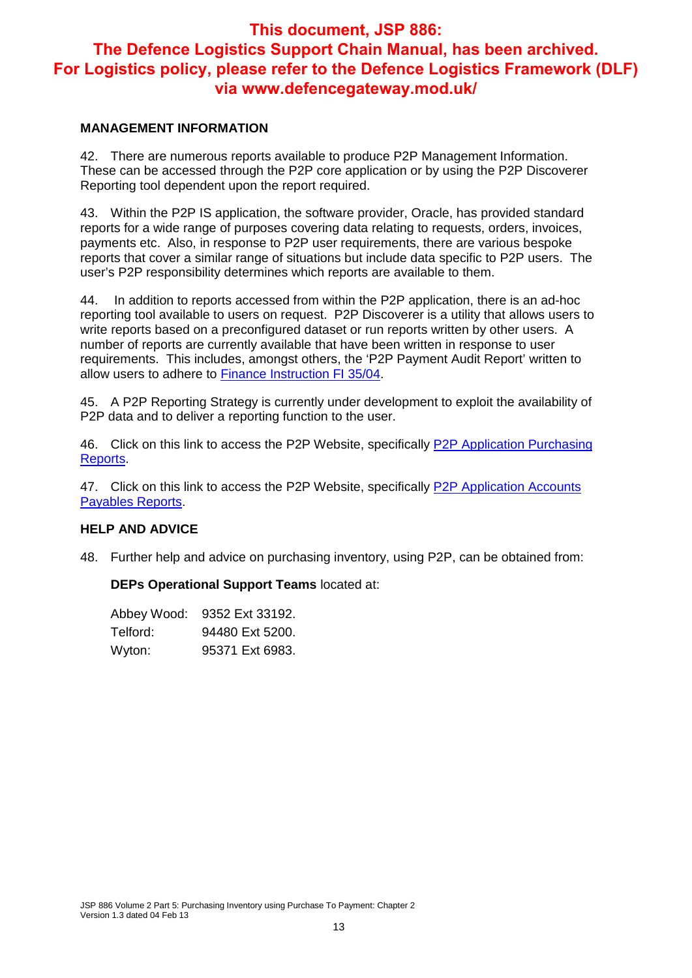#### **MANAGEMENT INFORMATION**

42. There are numerous reports available to produce P2P Management Information. These can be accessed through the P2P core application or by using the P2P Discoverer Reporting tool dependent upon the report required.

43. Within the P2P IS application, the software provider, Oracle, has provided standard reports for a wide range of purposes covering data relating to requests, orders, invoices, payments etc. Also, in response to P2P user requirements, there are various bespoke reports that cover a similar range of situations but include data specific to P2P users. The user's P2P responsibility determines which reports are available to them.

44. In addition to reports accessed from within the P2P application, there is an ad-hoc reporting tool available to users on request. P2P Discoverer is a utility that allows users to write reports based on a preconfigured dataset or run reports written by other users. A number of reports are currently available that have been written in response to user requirements. This includes, amongst others, the 'P2P Payment Audit Report' written to allow users to adhere to Finance Instruction FI 35/04.

45. A P2P Reporting Strategy is currently under development to exploit the availability of P2P data and to deliver a reporting function to the user.

46. Click on this link to access the P2P Website, specifically P2P Application Purchasing Reports.

47. Click on this link to access the P2P Website, specifically P2P Application Accounts Payables Reports.

#### **HELP AND ADVICE**

48. Further help and advice on purchasing inventory, using P2P, can be obtained from:

**DEPs Operational Support Teams** located at:

| Abbey Wood: | 9352 Ext 33192. |
|-------------|-----------------|
| Telford:    | 94480 Ext 5200. |
| Wyton:      | 95371 Ext 6983. |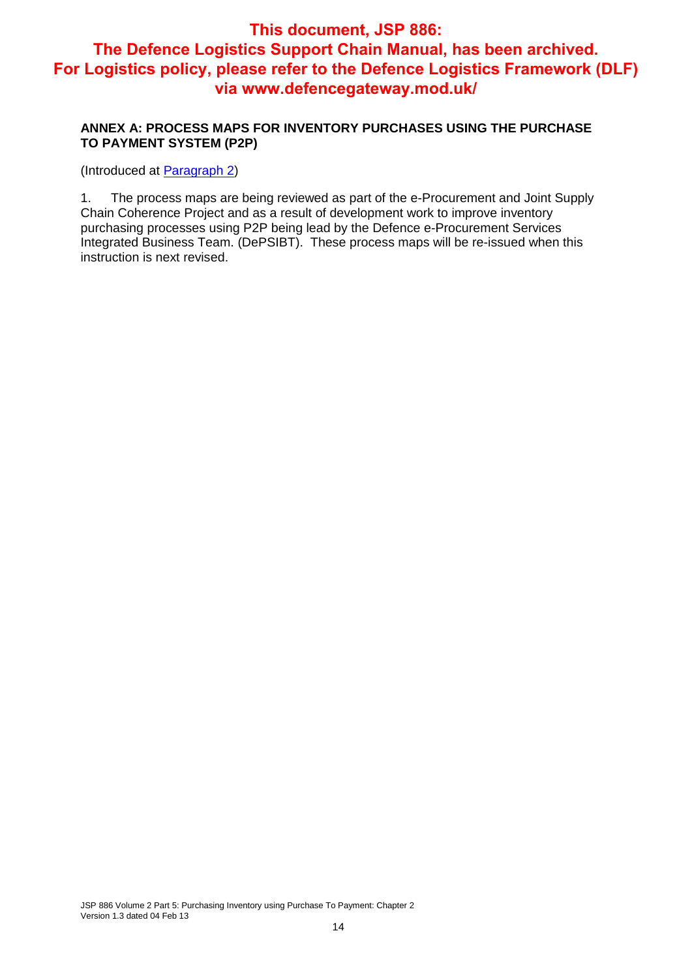#### **ANNEX A: PROCESS MAPS FOR INVENTORY PURCHASES USING THE PURCHASE TO PAYMENT SYSTEM (P2P)**

(Introduced at Paragraph 2)

1. The process maps are being reviewed as part of the e-Procurement and Joint Supply Chain Coherence Project and as a result of development work to improve inventory purchasing processes using P2P being lead by the Defence e-Procurement Services Integrated Business Team. (DePSIBT). These process maps will be re-issued when this instruction is next revised.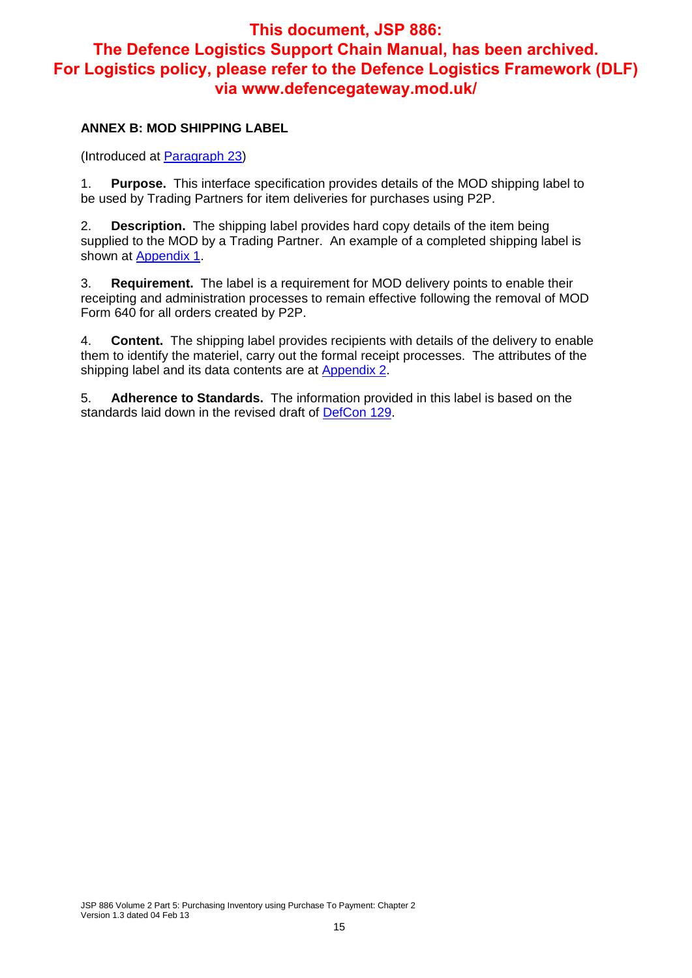#### **ANNEX B: MOD SHIPPING LABEL**

(Introduced at Paragraph 23)

1. **Purpose.** This interface specification provides details of the MOD shipping label to be used by Trading Partners for item deliveries for purchases using P2P.

2. **Description.** The shipping label provides hard copy details of the item being supplied to the MOD by a Trading Partner. An example of a completed shipping label is shown at **Appendix 1**.

3. **Requirement.** The label is a requirement for MOD delivery points to enable their receipting and administration processes to remain effective following the removal of MOD Form 640 for all orders created by P2P.

4. **Content.** The shipping label provides recipients with details of the delivery to enable them to identify the materiel, carry out the formal receipt processes. The attributes of the shipping label and its data contents are at **Appendix 2**.

5. **Adherence to Standards.** The information provided in this label is based on the standards laid down in the revised draft of DefCon 129.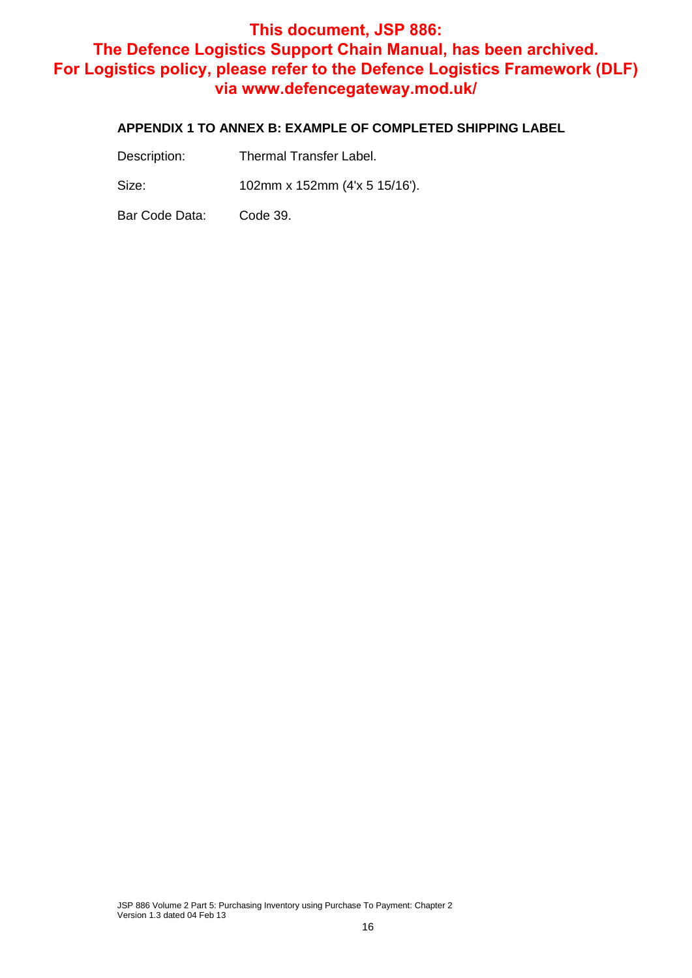#### **APPENDIX 1 TO ANNEX B: EXAMPLE OF COMPLETED SHIPPING LABEL**

Size: 102mm x 152mm (4'x 5 15/16').

Bar Code Data: Code 39.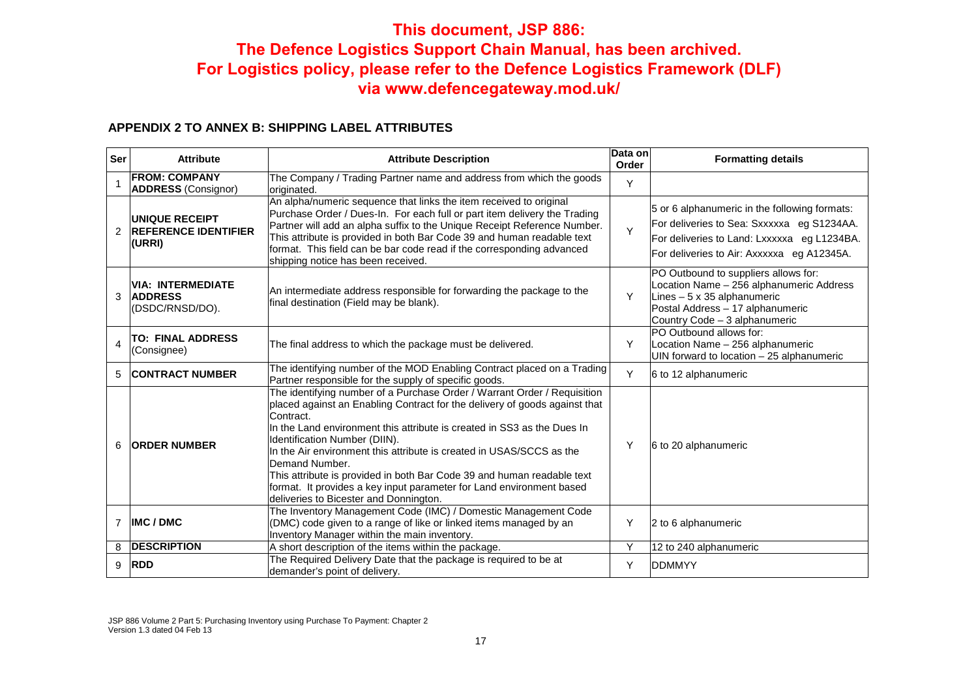#### **APPENDIX 2 TO ANNEX B: SHIPPING LABEL ATTRIBUTES**

| <b>Ser</b>              | <b>Attribute</b>                                               | <b>Attribute Description</b>                                                                                                                                                                                                                                                                                                                                                                                                                                                                                                                                          | Data on<br>Order | <b>Formatting details</b>                                                                                                                                                                  |
|-------------------------|----------------------------------------------------------------|-----------------------------------------------------------------------------------------------------------------------------------------------------------------------------------------------------------------------------------------------------------------------------------------------------------------------------------------------------------------------------------------------------------------------------------------------------------------------------------------------------------------------------------------------------------------------|------------------|--------------------------------------------------------------------------------------------------------------------------------------------------------------------------------------------|
|                         | <b>FROM: COMPANY</b><br><b>ADDRESS</b> (Consignor)             | The Company / Trading Partner name and address from which the goods<br>originated.                                                                                                                                                                                                                                                                                                                                                                                                                                                                                    | Υ                |                                                                                                                                                                                            |
| $\mathcal{P}$           | <b>UNIQUE RECEIPT</b><br><b>REFERENCE IDENTIFIER</b><br>(URRI) | An alpha/numeric sequence that links the item received to original<br>Purchase Order / Dues-In. For each full or part item delivery the Trading<br>Partner will add an alpha suffix to the Unique Receipt Reference Number.<br>This attribute is provided in both Bar Code 39 and human readable text<br>format. This field can be bar code read if the corresponding advanced<br>shipping notice has been received.                                                                                                                                                  | Y                | 5 or 6 alphanumeric in the following formats:<br>For deliveries to Sea: Sxxxxxa eg S1234AA.<br>For deliveries to Land: Lxxxxxa eg L1234BA.<br>For deliveries to Air: Axxxxxa eg A12345A.   |
| 3                       | <b>VIA: INTERMEDIATE</b><br><b>ADDRESS</b><br>(DSDC/RNSD/DO).  | An intermediate address responsible for forwarding the package to the<br>final destination (Field may be blank).                                                                                                                                                                                                                                                                                                                                                                                                                                                      | Y                | PO Outbound to suppliers allows for:<br>Location Name - 256 alphanumeric Address<br>Lines $-5 \times 35$ alphanumeric<br>Postal Address - 17 alphanumeric<br>Country Code - 3 alphanumeric |
| $\overline{\mathbf{4}}$ | <b>TO: FINAL ADDRESS</b><br>(Consignee)                        | The final address to which the package must be delivered.                                                                                                                                                                                                                                                                                                                                                                                                                                                                                                             | Υ                | PO Outbound allows for:<br>Location Name - 256 alphanumeric<br>UIN forward to location - 25 alphanumeric                                                                                   |
| 5                       | <b>CONTRACT NUMBER</b>                                         | The identifying number of the MOD Enabling Contract placed on a Trading<br>Partner responsible for the supply of specific goods.                                                                                                                                                                                                                                                                                                                                                                                                                                      | Y                | 6 to 12 alphanumeric                                                                                                                                                                       |
| 6                       | <b>ORDER NUMBER</b>                                            | The identifying number of a Purchase Order / Warrant Order / Requisition<br>placed against an Enabling Contract for the delivery of goods against that<br>Contract.<br>In the Land environment this attribute is created in SS3 as the Dues In<br>Identification Number (DIIN).<br>In the Air environment this attribute is created in USAS/SCCS as the<br>Demand Number.<br>This attribute is provided in both Bar Code 39 and human readable text<br>format. It provides a key input parameter for Land environment based<br>deliveries to Bicester and Donnington. | Υ                | 6 to 20 alphanumeric                                                                                                                                                                       |
| $\overline{7}$          | <b>IMC/DMC</b>                                                 | The Inventory Management Code (IMC) / Domestic Management Code<br>(DMC) code given to a range of like or linked items managed by an<br>Inventory Manager within the main inventory.                                                                                                                                                                                                                                                                                                                                                                                   | Υ                | 2 to 6 alphanumeric                                                                                                                                                                        |
| 8                       | <b>DESCRIPTION</b>                                             | A short description of the items within the package.                                                                                                                                                                                                                                                                                                                                                                                                                                                                                                                  | Y                | 12 to 240 alphanumeric                                                                                                                                                                     |
| 9                       | <b>RDD</b>                                                     | The Required Delivery Date that the package is required to be at<br>demander's point of delivery.                                                                                                                                                                                                                                                                                                                                                                                                                                                                     | Y                | <b>DDMMYY</b>                                                                                                                                                                              |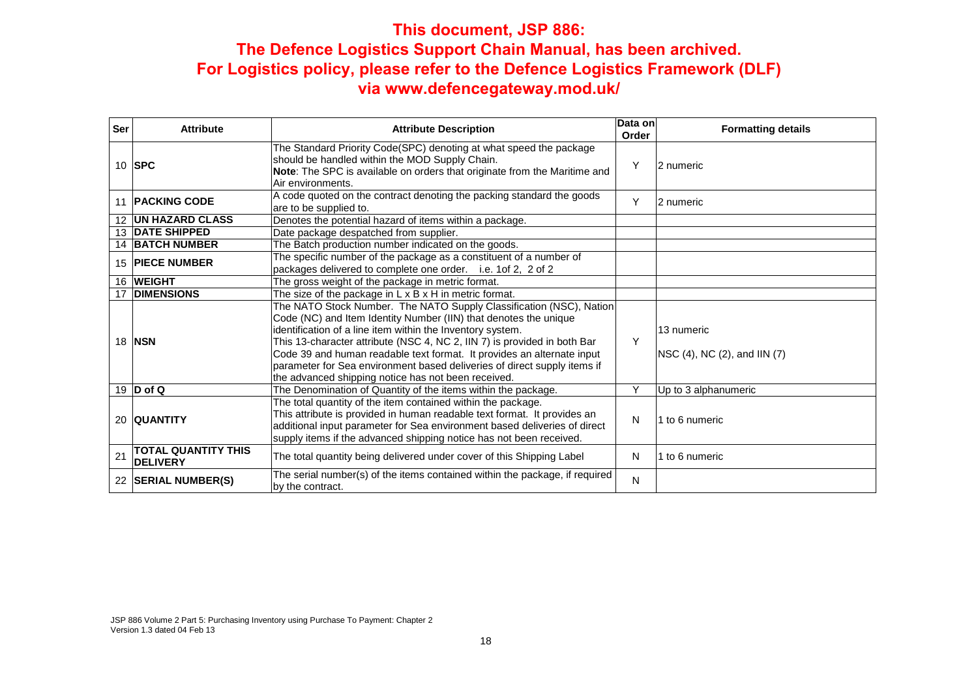| <b>Ser</b>        | <b>Attribute</b>                       | <b>Attribute Description</b>                                                                                                                                                                                                                                                                                                                                                                                                                                                                   | Data on<br>Order | <b>Formatting details</b>                  |
|-------------------|----------------------------------------|------------------------------------------------------------------------------------------------------------------------------------------------------------------------------------------------------------------------------------------------------------------------------------------------------------------------------------------------------------------------------------------------------------------------------------------------------------------------------------------------|------------------|--------------------------------------------|
|                   | 10 <b>SPC</b>                          | The Standard Priority Code(SPC) denoting at what speed the package<br>should be handled within the MOD Supply Chain.<br>Note: The SPC is available on orders that originate from the Maritime and<br>Air environments.                                                                                                                                                                                                                                                                         | Y                | 2 numeric                                  |
| 11                | <b>PACKING CODE</b>                    | A code quoted on the contract denoting the packing standard the goods<br>are to be supplied to.                                                                                                                                                                                                                                                                                                                                                                                                | Y                | 2 numeric                                  |
| $12 \overline{ }$ | <b>UN HAZARD CLASS</b>                 | Denotes the potential hazard of items within a package.                                                                                                                                                                                                                                                                                                                                                                                                                                        |                  |                                            |
| 13                | <b>DATE SHIPPED</b>                    | Date package despatched from supplier.                                                                                                                                                                                                                                                                                                                                                                                                                                                         |                  |                                            |
|                   | <b>14 BATCH NUMBER</b>                 | The Batch production number indicated on the goods.                                                                                                                                                                                                                                                                                                                                                                                                                                            |                  |                                            |
| 15                | <b>IPIECE NUMBER</b>                   | The specific number of the package as a constituent of a number of<br>packages delivered to complete one order. i.e. 1of 2, 2 of 2                                                                                                                                                                                                                                                                                                                                                             |                  |                                            |
| 16                | <b>WEIGHT</b>                          | The gross weight of the package in metric format.                                                                                                                                                                                                                                                                                                                                                                                                                                              |                  |                                            |
|                   | <b>DIMENSIONS</b>                      | The size of the package in $L \times B \times H$ in metric format.                                                                                                                                                                                                                                                                                                                                                                                                                             |                  |                                            |
|                   | 18 <b>NSN</b>                          | The NATO Stock Number. The NATO Supply Classification (NSC), Nation<br>Code (NC) and Item Identity Number (IIN) that denotes the unique<br>identification of a line item within the Inventory system.<br>This 13-character attribute (NSC 4, NC 2, IIN 7) is provided in both Bar<br>Code 39 and human readable text format. It provides an alternate input<br>parameter for Sea environment based deliveries of direct supply items if<br>the advanced shipping notice has not been received. | Y                | 13 numeric<br>NSC (4), NC (2), and IIN (7) |
|                   | 19 $D$ of Q                            | The Denomination of Quantity of the items within the package.                                                                                                                                                                                                                                                                                                                                                                                                                                  | Υ                | Up to 3 alphanumeric                       |
|                   | 20 QUANTITY                            | The total quantity of the item contained within the package.<br>This attribute is provided in human readable text format. It provides an<br>additional input parameter for Sea environment based deliveries of direct<br>supply items if the advanced shipping notice has not been received.                                                                                                                                                                                                   | N                | 1 to 6 numeric                             |
| 21                | TOTAL QUANTITY THIS<br><b>DELIVERY</b> | The total quantity being delivered under cover of this Shipping Label                                                                                                                                                                                                                                                                                                                                                                                                                          | N                | 1 to 6 numeric                             |
| 22                | <b>SERIAL NUMBER(S)</b>                | The serial number(s) of the items contained within the package, if required<br>by the contract.                                                                                                                                                                                                                                                                                                                                                                                                | N                |                                            |

JSP 886 Volume 2 Part 5: Purchasing Inventory using Purchase To Payment: Chapter 2 Version 1.3 dated 04 Feb 13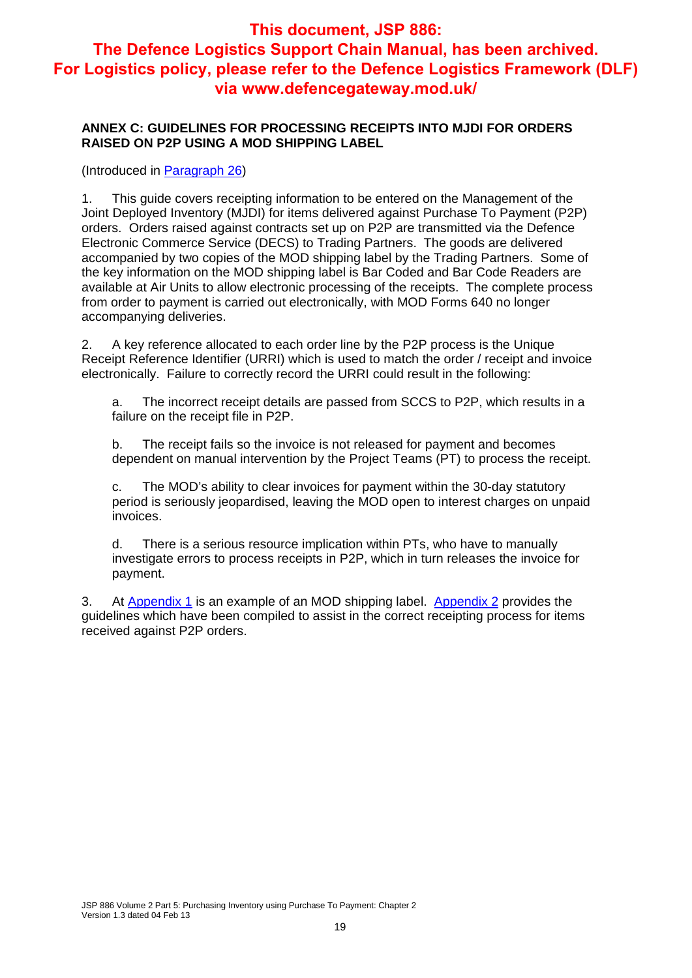#### **ANNEX C: GUIDELINES FOR PROCESSING RECEIPTS INTO MJDI FOR ORDERS RAISED ON P2P USING A MOD SHIPPING LABEL**

(Introduced in Paragraph 26)

1. This guide covers receipting information to be entered on the Management of the Joint Deployed Inventory (MJDI) for items delivered against Purchase To Payment (P2P) orders. Orders raised against contracts set up on P2P are transmitted via the Defence Electronic Commerce Service (DECS) to Trading Partners. The goods are delivered accompanied by two copies of the MOD shipping label by the Trading Partners. Some of the key information on the MOD shipping label is Bar Coded and Bar Code Readers are available at Air Units to allow electronic processing of the receipts. The complete process from order to payment is carried out electronically, with MOD Forms 640 no longer accompanying deliveries.

2. A key reference allocated to each order line by the P2P process is the Unique Receipt Reference Identifier (URRI) which is used to match the order / receipt and invoice electronically. Failure to correctly record the URRI could result in the following:

a. The incorrect receipt details are passed from SCCS to P2P, which results in a failure on the receipt file in P2P.

b. The receipt fails so the invoice is not released for payment and becomes dependent on manual intervention by the Project Teams (PT) to process the receipt.

c. The MOD's ability to clear invoices for payment within the 30-day statutory period is seriously jeopardised, leaving the MOD open to interest charges on unpaid invoices.

d. There is a serious resource implication within PTs, who have to manually investigate errors to process receipts in P2P, which in turn releases the invoice for payment.

3. At Appendix 1 is an example of an MOD shipping label. Appendix 2 provides the guidelines which have been compiled to assist in the correct receipting process for items received against P2P orders.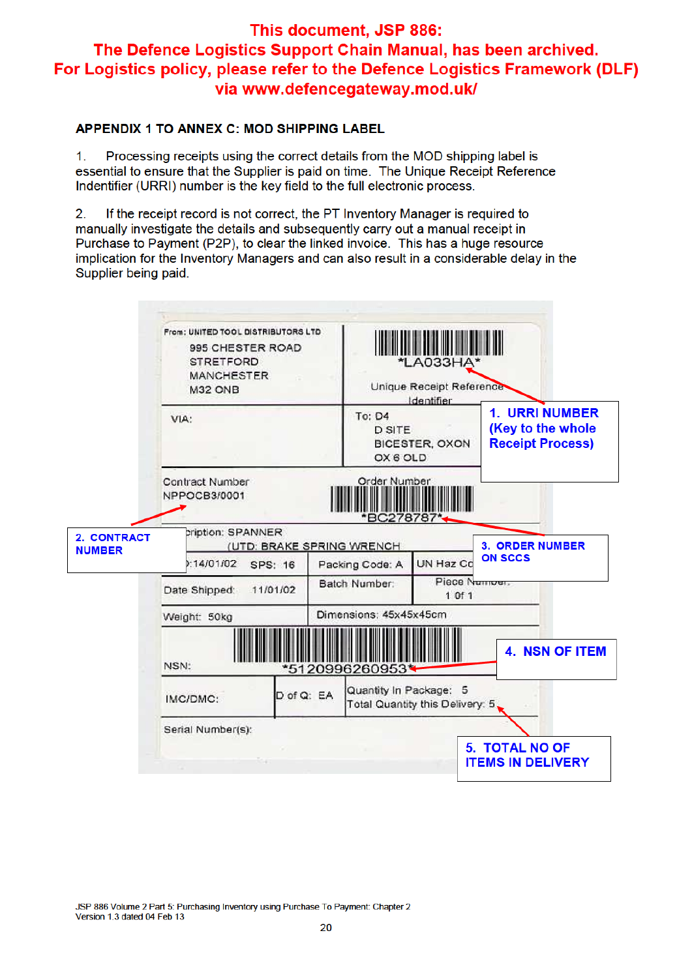#### **APPENDIX 1 TO ANNEX C: MOD SHIPPING LABEL**

1. Processing receipts using the correct details from the MOD shipping label is essential to ensure that the Supplier is paid on time. The Unique Receipt Reference Indentifier (URRI) number is the key field to the full electronic process.

If the receipt record is not correct, the PT Inventory Manager is required to  $2<sub>1</sub>$ manually investigate the details and subsequently carry out a manual receipt in Purchase to Payment (P2P), to clear the linked invoice. This has a huge resource implication for the Inventory Managers and can also result in a considerable delay in the Supplier being paid.



JSP 886 Volume 2 Part 5: Purchasing Inventory using Purchase To Payment: Chapter 2 Version 1.3 dated 04 Feb 13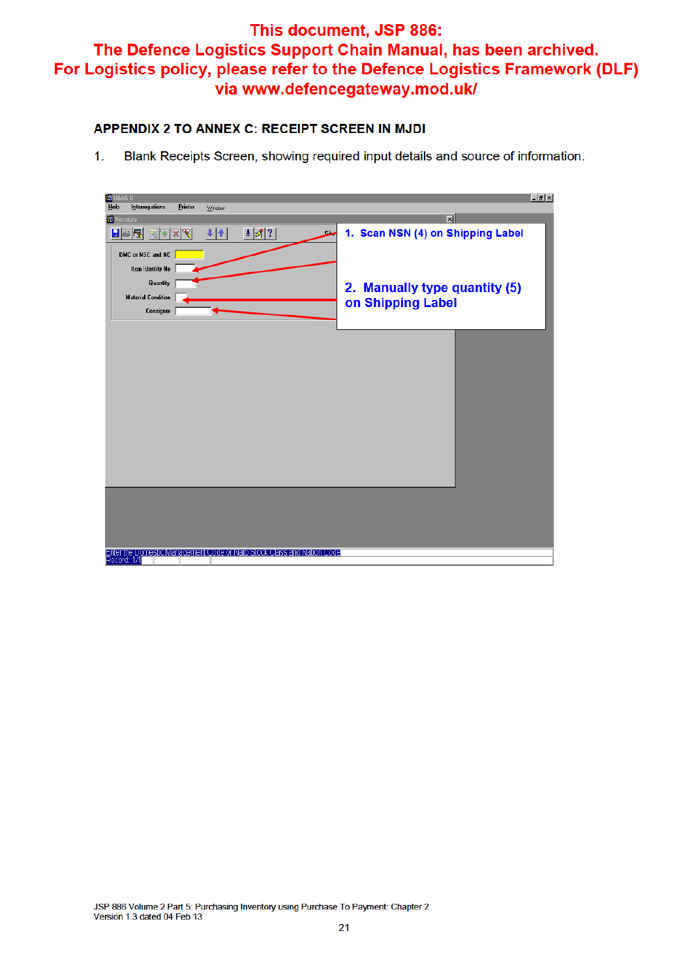#### APPENDIX 2 TO ANNEX C: RECEIPT SCREEN IN MJDI

 $1<sub>1</sub>$ Blank Receipts Screen, showing required input details and source of information.

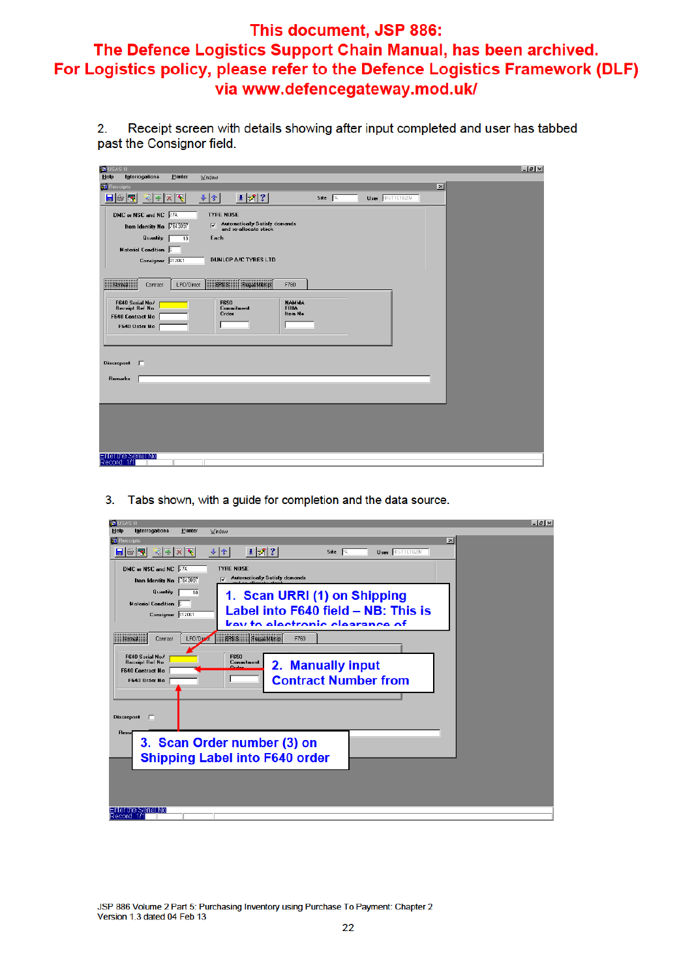Receipt screen with details showing after input completed and user has tabbed  $2.$ past the Consignor field.

| <b>33 USAS II</b>  |                                    |                 |                         |                                                        |                             |      |                        |                 | $ \theta$ $x$ |
|--------------------|------------------------------------|-----------------|-------------------------|--------------------------------------------------------|-----------------------------|------|------------------------|-----------------|---------------|
| Help               | <b>Interrogations</b>              | Printer         | Window                  |                                                        |                             |      |                        |                 |               |
| <b>33</b> Receipts |                                    |                 |                         |                                                        |                             |      |                        | $\vert x \vert$ |               |
|                    | 日發圈                                | क∣क∣×∣र         | $+$ $*$                 | $\pm  \mathcal{J} $ ?                                  |                             | Site | User <b>BISTICIBZN</b> |                 |               |
|                    | DMC or NSC and NC 27A              |                 | <b>TYRE NOSE</b>        |                                                        |                             |      |                        |                 |               |
|                    | Item Identity No 7643097           |                 | $\overline{\mathbf{v}}$ | Automatically Satisfy demands<br>and re-allocate stock |                             |      |                        |                 |               |
|                    | Quantity                           |                 | Each                    |                                                        |                             |      |                        |                 |               |
|                    |                                    | $\overline{10}$ |                         |                                                        |                             |      |                        |                 |               |
|                    | Material Condition 5               |                 |                         |                                                        |                             |      |                        |                 |               |
|                    | Consignor 912061                   |                 |                         | <b>DUNLOP A/C TYRES LTD</b>                            |                             |      |                        |                 |               |
|                    |                                    |                 |                         |                                                        |                             |      |                        |                 |               |
|                    | <b>Millions</b><br>Contract        | LPO/Direct      |                         | <b>EPSS</b> Providence                                 | F760                        |      |                        |                 |               |
|                    |                                    |                 |                         |                                                        |                             |      |                        |                 |               |
|                    | F640 Serial No/<br>Receipt Ref No  |                 | F650                    | Commitment                                             | <b>NAMMA</b><br><b>FB8A</b> |      |                        |                 |               |
|                    | F640 Contract No                   |                 | Order                   |                                                        | <b>Item No</b>              |      |                        |                 |               |
|                    | F640 Order No                      |                 |                         |                                                        |                             |      |                        |                 |               |
|                    |                                    |                 |                         |                                                        |                             |      |                        |                 |               |
|                    |                                    |                 |                         |                                                        |                             |      |                        |                 |               |
| <b>Discrepant</b>  | л                                  |                 |                         |                                                        |                             |      |                        |                 |               |
|                    |                                    |                 |                         |                                                        |                             |      |                        |                 |               |
|                    | <b>Remarks</b>                     |                 |                         |                                                        |                             |      |                        |                 |               |
|                    |                                    |                 |                         |                                                        |                             |      |                        |                 |               |
|                    |                                    |                 |                         |                                                        |                             |      |                        |                 |               |
|                    |                                    |                 |                         |                                                        |                             |      |                        |                 |               |
|                    |                                    |                 |                         |                                                        |                             |      |                        |                 |               |
|                    |                                    |                 |                         |                                                        |                             |      |                        |                 |               |
|                    |                                    |                 |                         |                                                        |                             |      |                        |                 |               |
|                    |                                    |                 |                         |                                                        |                             |      |                        |                 |               |
|                    | Enter the Serial No<br>Record: 1/1 |                 |                         |                                                        |                             |      |                        |                 |               |

3. Tabs shown, with a guide for completion and the data source.

| <b>KA USAS II</b>                                                                                    | $ \theta$ $\times$ |
|------------------------------------------------------------------------------------------------------|--------------------|
| Printer<br>Help<br>Interrogations<br>Window                                                          |                    |
| <b>33</b> Receipts                                                                                   | $\vert x \vert$    |
| 1 Z <br>日陽園<br>$x \times x$<br>Site <b>12</b><br>User RISTTETEZN<br>$  \cdot   \cdot  $              |                    |
| DMC or NSC and NC 27A<br><b>TYRE NOSE</b>                                                            |                    |
| <b>Automatically Satisfy demands</b><br>ज<br>Item Identity No 7643097                                |                    |
| Quantity<br>10<br>1. Scan URRI (1) on Shipping<br>Material Condition 5                               |                    |
| Label into F640 field - NB: This is<br>Consignor 312051                                              |                    |
| key to electronic clearance of                                                                       |                    |
| <b>Monst</b><br>EPSS Frequenting<br>LPO/Dig<br>E760<br>Contract                                      |                    |
|                                                                                                      |                    |
| F640 Serial No/<br>F650<br><b>Receipt Ref No.</b><br>Commitment<br>2. Manually input<br><b>Order</b> |                    |
| F640 Contract No.                                                                                    |                    |
| <b>Contract Number from</b><br>F640 Order No                                                         |                    |
|                                                                                                      |                    |
| <b>Discrepant</b><br>F                                                                               |                    |
| <b>Reme</b>                                                                                          |                    |
| 3. Scan Order number (3) on                                                                          |                    |
|                                                                                                      |                    |
| <b>Shipping Label into F640 order</b>                                                                |                    |
|                                                                                                      |                    |
|                                                                                                      |                    |
|                                                                                                      |                    |
| Enter the Serial No                                                                                  |                    |
| Record: 1/1                                                                                          |                    |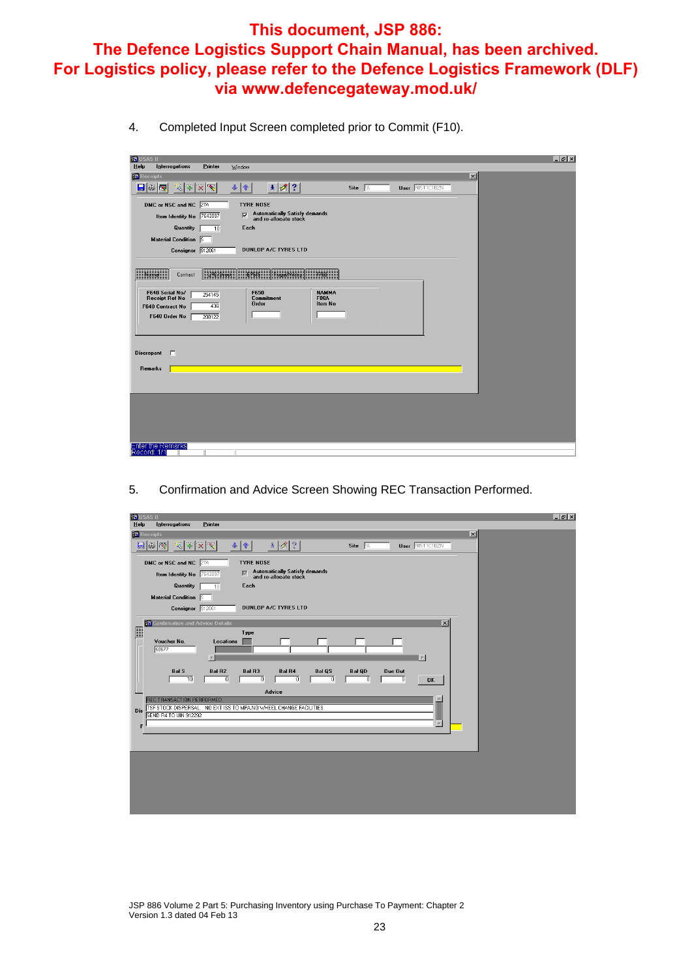4. Completed Input Screen completed prior to Commit (F10).

| <b>35 USAS II</b><br>Help | Interrogations                                                               | Printer              | Window                                                                   | $ P$ $\times$ |
|---------------------------|------------------------------------------------------------------------------|----------------------|--------------------------------------------------------------------------|---------------|
| <b>B</b> Receipts         |                                                                              |                      | $\vert x \vert$                                                          |               |
|                           | $\blacksquare$ $\blacksquare$<br>$\mathbb{Z}$<br>$\mathcal{H}_{\mathcal{C}}$ | ◥<br>$\vert x \vert$ | $ \cdot $<br>$\ddot{\bullet}$<br><b>User RIST1C1BZN</b><br>Site A        |               |
|                           | DMC or NSC and NC 27A                                                        |                      | <b>TYRE NOSE</b>                                                         |               |
|                           | Item Identity No 7643097                                                     |                      | Automatically Satisfy demands<br>and re-allocate stock<br>$\overline{v}$ |               |
|                           | Quantity                                                                     | 70                   | Each                                                                     |               |
|                           | Material Condition 5                                                         |                      |                                                                          |               |
|                           | Consignor 912061                                                             |                      | DUNLOP A/C TYRES LTD                                                     |               |
|                           |                                                                              |                      |                                                                          |               |
|                           | Monted<br>Contract                                                           | Pikkissa             | EPSS<br><b>Frugal/Miletrip</b><br>F760                                   |               |
|                           | F640 Serial No/<br><b>Receipt Ref No</b>                                     | 254145               | F650<br><b>NAMMA</b><br><b>Commitment</b><br><b>F88A</b>                 |               |
|                           | F640 Contract No                                                             | 436                  | Item No<br><b>Order</b>                                                  |               |
|                           | F640 Order No                                                                | 208122               |                                                                          |               |
|                           |                                                                              |                      |                                                                          |               |
|                           |                                                                              |                      |                                                                          |               |
| <b>Discrepant</b>         | <u>г</u>                                                                     |                      |                                                                          |               |
|                           | Remarks                                                                      |                      |                                                                          |               |
|                           |                                                                              |                      |                                                                          |               |
|                           |                                                                              |                      |                                                                          |               |
|                           |                                                                              |                      |                                                                          |               |
|                           |                                                                              |                      |                                                                          |               |
|                           |                                                                              |                      |                                                                          |               |
|                           |                                                                              |                      |                                                                          |               |
|                           | Enter the Remarks<br>Record: 1/1                                             |                      |                                                                          |               |
|                           |                                                                              |                      |                                                                          |               |

5. Confirmation and Advice Screen Showing REC Transaction Performed.

|                | <b>KY USAS II</b>                         |                                                                                                                                           | $-10 \times$ |
|----------------|-------------------------------------------|-------------------------------------------------------------------------------------------------------------------------------------------|--------------|
| Help           | Interrogations                            | Printer                                                                                                                                   |              |
|                | <b>B</b> Receipts                         | $\vert x \vert$                                                                                                                           |              |
|                | <b>M S</b><br>表 零                         | l?<br>$\mathscr{B}$<br>$\mathcal{R}_\epsilon$<br>$\ddot{\phantom{0}}$<br>介<br>$\overline{\mathbf{x}}$<br>Site A<br><b>User RIST1C1BZN</b> |              |
|                | DMC or NSC and NC 27A                     | <b>TYRE NOSE</b>                                                                                                                          |              |
|                | Item Identity No 7643097                  | Automatically Satisfy demands<br>and re-allocate stock<br>$\overline{\nabla}$                                                             |              |
|                | Quantity                                  | Each<br>10                                                                                                                                |              |
|                | Material Condition                        |                                                                                                                                           |              |
|                |                                           | <b>DUNLOP A/C TYRES LTD</b>                                                                                                               |              |
|                |                                           | Consignor 912061                                                                                                                          |              |
|                | <b>35</b> Confirmation and Advice Details | $\vert x \vert$                                                                                                                           |              |
| $\blacksquare$ |                                           | Type                                                                                                                                      |              |
|                | Voucher No.<br>60677                      | <b>Locations</b>                                                                                                                          |              |
|                |                                           | $\mathbb{E}$                                                                                                                              |              |
|                | <b>Bal S</b>                              | <b>Bal R2</b><br><b>Bal R3</b><br><b>Bal R4</b><br><b>Bal QS</b><br><b>Bal QD</b><br>Due Out                                              |              |
|                |                                           | ō<br>7<br>10<br>ō<br>7<br>7<br>7<br>OK                                                                                                    |              |
|                |                                           | Advice                                                                                                                                    |              |
|                | REC TRANSACTION PERFORMED                 | W                                                                                                                                         |              |
| Dis            | SEND R4 TO UIN 912292                     | TSF STOCK DISPERSAL. NO EXT ISS TO MPA, NO WHEEL CHANGE FACILITIES.                                                                       |              |
|                |                                           | $\overline{\phantom{a}}$                                                                                                                  |              |
|                |                                           |                                                                                                                                           |              |
|                |                                           |                                                                                                                                           |              |
|                |                                           |                                                                                                                                           |              |
|                |                                           |                                                                                                                                           |              |
|                |                                           |                                                                                                                                           |              |
|                |                                           |                                                                                                                                           |              |
|                |                                           |                                                                                                                                           |              |
|                |                                           |                                                                                                                                           |              |

JSP 886 Volume 2 Part 5: Purchasing Inventory using Purchase To Payment: Chapter 2 Version 1.3 dated 04 Feb 13